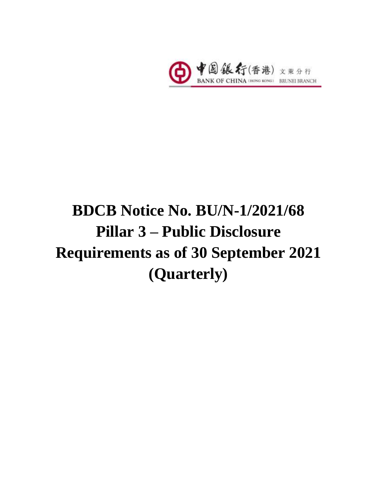

# **BDCB Notice No. BU/N-1/2021/68 Pillar 3 – Public Disclosure Requirements as of 30 September 2021 (Quarterly)**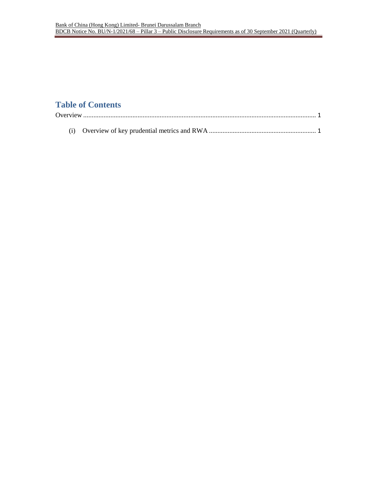## **Table of Contents**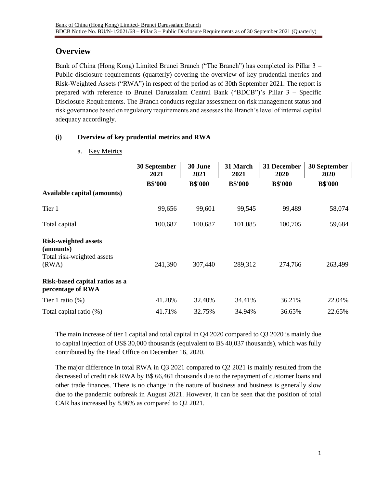## <span id="page-2-0"></span>**Overview**

Bank of China (Hong Kong) Limited Brunei Branch ("The Branch") has completed its Pillar 3 – Public disclosure requirements (quarterly) covering the overview of key prudential metrics and Risk-Weighted Assets ("RWA") in respect of the period as of 30th September 2021. The report is prepared with reference to Brunei Darussalam Central Bank ("BDCB")'s Pillar 3 – Specific Disclosure Requirements. The Branch conducts regular assessment on risk management status and risk governance based on regulatory requirements and assesses the Branch's level of internal capital adequacy accordingly.

### <span id="page-2-1"></span>**(i) Overview of key prudential metrics and RWA**

#### a. Key Metrics

|                                                                                 | 30 September<br>2021 | 30 June<br>2021 | 31 March<br>2021 | 31 December<br>2020 | 30 September<br><b>2020</b> |
|---------------------------------------------------------------------------------|----------------------|-----------------|------------------|---------------------|-----------------------------|
|                                                                                 | <b>B\$'000</b>       | <b>B\$'000</b>  | <b>B\$'000</b>   | <b>B\$'000</b>      | <b>B\$'000</b>              |
| <b>Available capital (amounts)</b>                                              |                      |                 |                  |                     |                             |
| Tier 1                                                                          | 99,656               | 99,601          | 99,545           | 99,489              | 58,074                      |
| Total capital                                                                   | 100,687              | 100,687         | 101,085          | 100,705             | 59,684                      |
| <b>Risk-weighted assets</b><br>(amounts)<br>Total risk-weighted assets<br>(RWA) | 241,390              | 307,440         | 289,312          | 274,766             | 263,499                     |
| Risk-based capital ratios as a<br>percentage of RWA                             |                      |                 |                  |                     |                             |
| Tier 1 ratio $(\%)$                                                             | 41.28%               | 32.40%          | 34.41%           | 36.21%              | 22.04%                      |
| Total capital ratio (%)                                                         | 41.71%               | 32.75%          | 34.94%           | 36.65%              | 22.65%                      |

The main increase of tier 1 capital and total capital in Q4 2020 compared to Q3 2020 is mainly due to capital injection of US\$ 30,000 thousands (equivalent to B\$ 40,037 thousands), which was fully contributed by the Head Office on December 16, 2020.

The major difference in total RWA in Q3 2021 compared to Q2 2021 is mainly resulted from the decreased of credit risk RWA by B\$ 66,461 thousands due to the repayment of customer loans and other trade finances. There is no change in the nature of business and business is generally slow due to the pandemic outbreak in August 2021. However, it can be seen that the position of total CAR has increased by 8.96% as compared to Q2 2021.